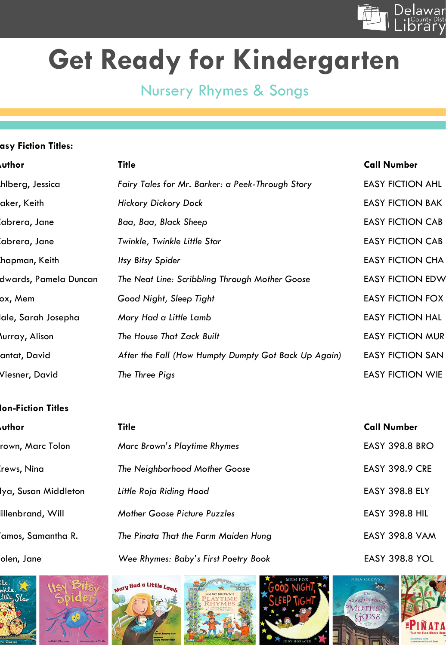

# **Get Ready for Kindergarten**

Nursery Rhymes & Songs

#### **Easy Fiction Titles:**

| ∖uthor                | <b>Title</b>                                         | <b>Call Number</b>      |
|-----------------------|------------------------------------------------------|-------------------------|
| hlberg, Jessica       | Fairy Tales for Mr. Barker: a Peek-Through Story     | <b>EASY FICTION AHL</b> |
| aker, Keith           | <b>Hickory Dickory Dock</b>                          | <b>EASY FICTION BAK</b> |
| labrera, Jane         | Baa, Baa, Black Sheep                                | <b>EASY FICTION CAB</b> |
| labrera, Jane         | Twinkle, Twinkle Little Star                         | <b>EASY FICTION CAB</b> |
| hapman, Keith         | Itsy Bitsy Spider                                    | <b>EASY FICTION CHA</b> |
| dwards, Pamela Duncan | The Neat Line: Scribbling Through Mother Goose       | <b>EASY FICTION EDW</b> |
| ox, Mem               | Good Night, Sleep Tight                              | <b>EASY FICTION FOX</b> |
| ale, Sarah Josepha    | Mary Had a Little Lamb                               | <b>EASY FICTION HAL</b> |
| lurray, Alison        | The House That Zack Built                            | <b>EASY FICTION MUR</b> |
| antat, David          | After the Fall (How Humpty Dumpty Got Back Up Again) | <b>EASY FICTION SAN</b> |
| Viesner, David        | The Three Pigs                                       | <b>EASY FICTION WIE</b> |
|                       |                                                      |                         |

#### **Non-Fiction Titles**

| luthor               | <b>Title</b>                         | <b>Call Number</b>    |
|----------------------|--------------------------------------|-----------------------|
| rown, Marc Tolon     | <b>Marc Brown's Playtime Rhymes</b>  | <b>EASY 398.8 BRO</b> |
| lrews, Nina          | The Neighborhood Mother Goose        | <b>EASY 398.9 CRE</b> |
| lya, Susan Middleton | Little Roja Riding Hood              | <b>EASY 398.8 ELY</b> |
| illenbrand, Will     | <b>Mother Goose Picture Puzzles</b>  | <b>EASY 398.8 HIL</b> |
| amos, Samantha R.    | The Pinata That the Farm Maiden Hung | <b>EASY 398.8 VAM</b> |
| olen, Jane           | Wee Rhymes: Baby's First Poetry Book | <b>EASY 398.8 YOL</b> |